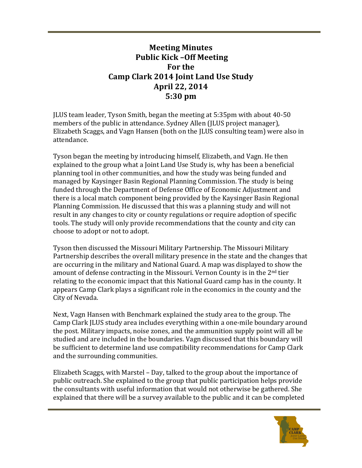## **Meeting Minutes Public Kick -Off Meeting For the Camp Clark 2014 Joint Land Use Study April 22, 2014 5:30 pm**

ILUS team leader, Tyson Smith, began the meeting at 5:35pm with about 40-50 members of the public in attendance. Sydney Allen (JLUS project manager), Elizabeth Scaggs, and Vagn Hansen (both on the JLUS consulting team) were also in attendance. 

Tyson began the meeting by introducing himself, Elizabeth, and Vagn. He then explained to the group what a Joint Land Use Study is, why has been a beneficial planning tool in other communities, and how the study was being funded and managed by Kaysinger Basin Regional Planning Commission. The study is being funded through the Department of Defense Office of Economic Adjustment and there is a local match component being provided by the Kaysinger Basin Regional Planning Commission. He discussed that this was a planning study and will not result in any changes to city or county regulations or require adoption of specific tools. The study will only provide recommendations that the county and city can choose to adopt or not to adopt.

Tyson then discussed the Missouri Military Partnership. The Missouri Military Partnership describes the overall military presence in the state and the changes that are occurring in the military and National Guard. A map was displayed to show the amount of defense contracting in the Missouri. Vernon County is in the  $2<sup>nd</sup>$  tier relating to the economic impact that this National Guard camp has in the county. It appears Camp Clark plays a significant role in the economics in the county and the City of Nevada.

Next, Vagn Hansen with Benchmark explained the study area to the group. The Camp Clark ILUS study area includes everything within a one-mile boundary around the post. Military impacts, noise zones, and the ammunition supply point will all be studied and are included in the boundaries. Vagn discussed that this boundary will be sufficient to determine land use compatibility recommendations for Camp Clark and the surrounding communities.

Elizabeth Scaggs, with Marstel – Day, talked to the group about the importance of public outreach. She explained to the group that public participation helps provide the consultants with useful information that would not otherwise be gathered. She explained that there will be a survey available to the public and it can be completed